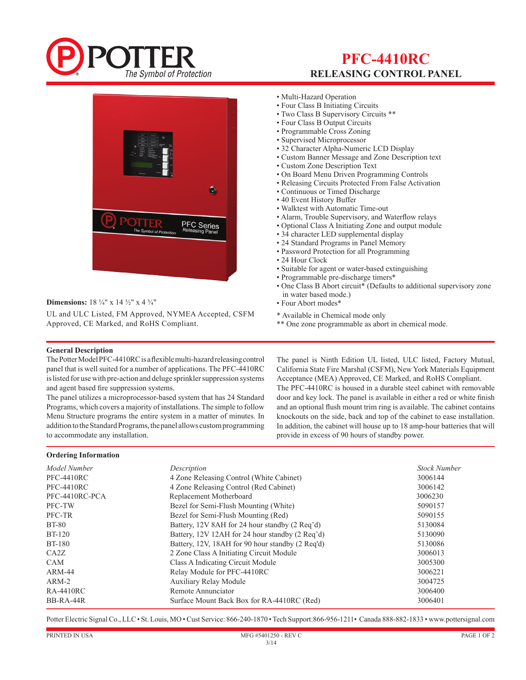

## **PFC-4410RC RELEASING CONTROL PANEL**



#### **Dimensions:** 18 ¼" x 14 ½" x 4 ¾"

UL and ULC Listed, FM Approved, NYMEA Accepted, CSFM Approved, CE Marked, and RoHS Compliant.

- Multi-Hazard Operation
- Four Class B Initiating Circuits
- Two Class B Supervisory Circuits \*\*
- Four Class B Output Circuits
- Programmable Cross Zoning
- Supervised Microprocessor
- 32 Character Alpha-Numeric LCD Display
- Custom Banner Message and Zone Description text
- Custom Zone Description Text
- On Board Menu Driven Programming Controls
- Releasing Circuits Protected From False Activation
- Continuous or Timed Discharge
- 40 Event History Buffer
- Walktest with Automatic Time-out
- Alarm, Trouble Supervisory, and Waterflow relays
- Optional Class A Initiating Zone and output module
- 34 character LED supplemental display
- 24 Standard Programs in Panel Memory
- Password Protection for all Programming
- 24 Hour Clock
- Suitable for agent or water-based extinguishing
- Programmable pre-discharge timers\*
- One Class B Abort circuit\* (Defaults to additional supervisory zone in water based mode.)
- Four Abort modes\*

\* Available in Chemical mode only

\*\* One zone programmable as abort in chemical mode.

#### **General Description**

**Ordering Information** 

The Potter Model PFC-4410RC is a flexible multi-hazard releasing control panel that is well suited for a number of applications. The PFC-4410RC is listed for use with pre-action and deluge sprinkler suppression systems and agent based fire suppression systems.

The panel utilizes a microprocessor-based system that has 24 Standard Programs, which covers a majority of installations. The simple to follow Menu Structure programs the entire system in a matter of minutes. In addition to the Standard Programs, the panel allows custom programming to accommodate any installation.

The panel is Ninth Edition UL listed, ULC listed, Factory Mutual, California State Fire Marshal (CSFM), New York Materials Equipment Acceptance (MEA) Approved, CE Marked, and RoHS Compliant. The PFC-4410RC is housed in a durable steel cabinet with removable door and key lock. The panel is available in either a red or white finish and an optional flush mount trim ring is available. The cabinet contains knockouts on the side, back and top of the cabinet to ease installation. In addition, the cabinet will house up to 18 amp-hour batteries that will provide in excess of 90 hours of standby power.

#### *Model Number Description Stock Number* PFC-4410RC 4 Zone Releasing Control (White Cabinet) 3006144 PFC-4410RC 4 Zone Releasing Control (Red Cabinet) 3006142 PFC-4410RC-PCA Replacement Motherboard 3006230 PFC-TW Bezel for Semi-Flush Mounting (White) 5090157 PFC-TR Bezel for Semi-Flush Mounting (Red) 5090155 BT-80 Battery, 12V 8AH for 24 hour standby (2 Req'd) 5130084 BT-120 Battery, 12V 12AH for 24 hour standby (2 Req'd) 5130090 BT-180 Battery, 12V, 18AH for 90 hour standby (2 Req'd) 5130086 CA2Z 2 Zone Class A Initiating Circuit Module 3006013 CAM Class A Indicating Circuit Module 3005300 ARM-44 Relay Module for PFC-4410RC 3006221 ARM-2 Auxiliary Relay Module 3004725 RA-4410RC 8006400 Remote Annunciator 3006400 BB-RA-44R Surface Mount Back Box for RA-4410RC (Red) 3006401

Potter Electric Signal Co., LLC • St. Louis, MO • Cust Service: 866-240-1870 • Tech Support:866-956-1211• Canada 888-882-1833 • www.pottersignal.com